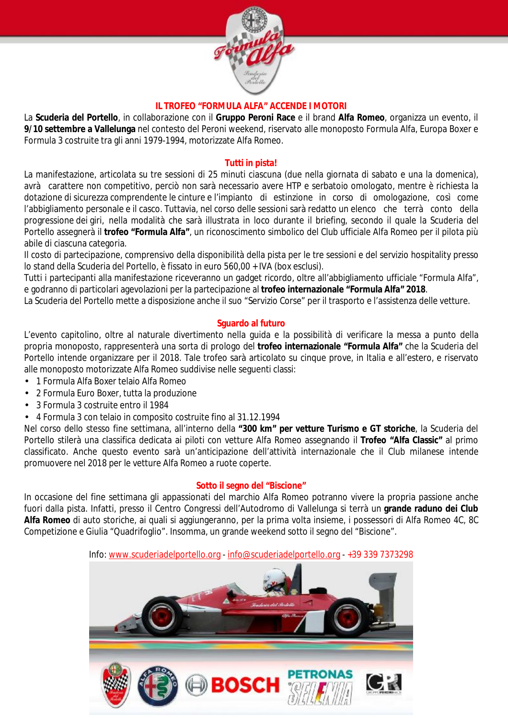

#### **IL TROFEO "FORMULA ALFA" ACCENDE I MOTORI**

La **Scuderia del Portello**, in collaborazione con il **Gruppo Peroni Race** e il brand **Alfa Romeo**, organizza un evento, il **9/10 settembre a Vallelunga** nel contesto del Peroni weekend, riservato alle monoposto Formula Alfa, Europa Boxer e Formula 3 costruite tra gli anni 1979-1994, motorizzate Alfa Romeo.

## **Tutti in pista!**

La manifestazione, articolata su tre sessioni di 25 minuti ciascuna (due nella giornata di sabato e una la domenica), avrà carattere non competitivo, perciò non sarà necessario avere HTP e serbatoio omologato, mentre è richiesta la dotazione di sicurezza comprendente le cinture e l'impianto di estinzione in corso di omologazione, così come l'abbigliamento personale e il casco. Tuttavia, nel corso delle sessioni sarà redatto un elenco che terrà conto della progressione dei giri, nella modalità che sarà illustrata in loco durante il briefing, secondo il quale la Scuderia del Portello assegnerà il **trofeo "Formula Alfa"**, un riconoscimento simbolico del Club ufficiale Alfa Romeo per il pilota più abile di ciascuna categoria.

Il costo di partecipazione, comprensivo della disponibilità della pista per le tre sessioni e del servizio hospitality presso lo stand della Scuderia del Portello, è fissato in euro 560,00 + IVA (box esclusi).

Tutti i partecipanti alla manifestazione riceveranno un gadget ricordo, oltre all'abbigliamento ufficiale "Formula Alfa", e godranno di particolari agevolazioni per la partecipazione al **trofeo internazionale "Formula Alfa" 2018**.

La Scuderia del Portello mette a disposizione anche il suo "Servizio Corse" per il trasporto e l'assistenza delle vetture.

# **Sguardo al futuro**

L'evento capitolino, oltre al naturale divertimento nella guida e la possibilità di verificare la messa a punto della propria monoposto, rappresenterà una sorta di prologo del **trofeo internazionale "Formula Alfa"** che la Scuderia del Portello intende organizzare per il 2018. Tale trofeo sarà articolato su cinque prove, in Italia e all'estero, e riservato alle monoposto motorizzate Alfa Romeo suddivise nelle seguenti classi:

- 1 Formula Alfa Boxer telaio Alfa Romeo
- 2 Formula Euro Boxer, tutta la produzione
- 3 Formula 3 costruite entro il 1984
- 4 Formula 3 con telaio in composito costruite fino al 31.12.1994

Nel corso dello stesso fine settimana, all'interno della **"300 km" per vetture Turismo e GT storiche**, la Scuderia del Portello stilerà una classifica dedicata ai piloti con vetture Alfa Romeo assegnando il **Trofeo "Alfa Classic"** al primo classificato. Anche questo evento sarà un'anticipazione dell'attività internazionale che il Club milanese intende promuovere nel 2018 per le vetture Alfa Romeo a ruote coperte.

#### **Sotto il segno del "Biscione"**

In occasione del fine settimana gli appassionati del marchio Alfa Romeo potranno vivere la propria passione anche fuori dalla pista. Infatti, presso il Centro Congressi dell'Autodromo di Vallelunga si terrà un **grande raduno dei Club Alfa Romeo** di auto storiche, ai quali si aggiungeranno, per la prima volta insieme, i possessori di Alfa Romeo 4C, 8C Competizione e Giulia "Quadrifoglio". Insomma, un grande weekend sotto il segno del "Biscione".

## Info: [www.scuderiadelportello.org](http://www.scuderiadelportello.org) - [info@scuderiadelportello.org](mailto:info@scuderiadelportello.org) - +39 339 7373298